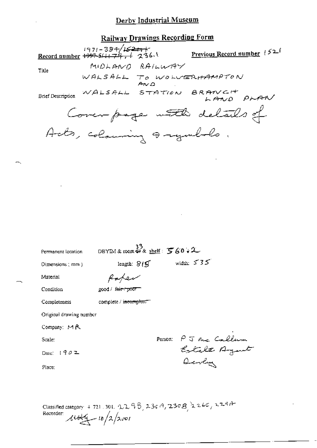#### Derby Industrial Museum

# Railway Drawings Recording Form

 $1971 - 384/\sqrt{1521}$ <br>Record number 1997-5/1179, 1 236.1 Previous Record number 152f MIDLAND RAILWAY Title WALSALL TO WOLVERHAMPTON  $A \vee \Omega$ Brief Description WALSALL STATION BRANCH PRAN Coverpage with details of Acts, colouring a regulato.

| Permanent location      | DBYIM & room $\overset{33}{\psi}$ & shelf: $\mathcal{F}$ 60 + 2 |                                      |
|-------------------------|-----------------------------------------------------------------|--------------------------------------|
| Dimensions (mm)         | length: $\mathcal{S}/\mathcal{G}$                               | width: $535$                         |
| Material                |                                                                 |                                      |
| Condition               | good / f <del>air / poor</del>                                  |                                      |
| Completeness            | complete / i <del>ncomplete =</del>                             |                                      |
| Original drawing number |                                                                 |                                      |
| Company: MR             |                                                                 |                                      |
| Scale:                  |                                                                 |                                      |
| Date: $1902$            |                                                                 | Person: PJ me Callum<br>Estate Agent |
| Place:                  |                                                                 |                                      |
|                         |                                                                 |                                      |
|                         |                                                                 |                                      |

Classified category + 721.301.  $22.98$ ,  $236.9$ ,  $230.8$ ,  $22.66$ ,  $22.914$ Recorder:  $\mu$ tolg - 10/2/2001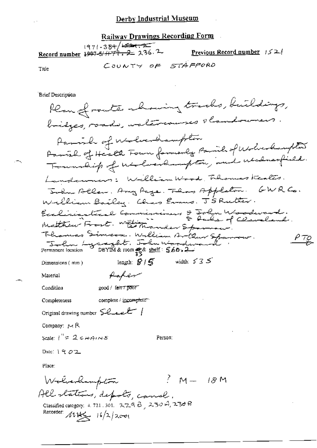#### Derby Industrial Museum

Railway Drawings Recording Form 1971-384/<del>1984.2</del> Record number 1997-5/ $\ddot{H}$ 77, 2 236.2 Previous Record number  $152/$ COUNTY OF STAFFORD Title

Brief Description

Plan of route chairing tracks, buildings, bridges, roads, watercourses slandowners Parish of Wolverhampton Family of Health Four formerly Partie of Wolverlaughter Foundity of understampton, and understall. Landowners: William Wood, Thomas Keales. John Allen, Any Page. Then Appleton. GWR Co. William Bailey. Chas Evans. J'S Rutter. Exclisiasteral Commissioners & John Woodward.<br>Matthew Frost. Williams & John of Cleveland Thomas Simcon. William Artlaw Spanner.  $\rho_{\underline{\tau}\underline{\varphi}}$ Facture Lynnght. John Worder length:  $\mathcal{G}/\mathcal{G}$  width:  $535$ Dimensions (min) fafer Material Condition good / fair / poor" complete / incomplete" Completeness Original drawing number Sealer / Company: MR Scale:  $1'' = 2$  c  $\#$ AINS Person: Date:  $1902$ Place:  $\frac{2}{3}M = 18M$ Walverhampton All statens, depots, canel. Classified category: 4, 721, 301, 2298, 2304, 2308 Recorder:  $114\frac{1}{2}$   $16/2$ /2001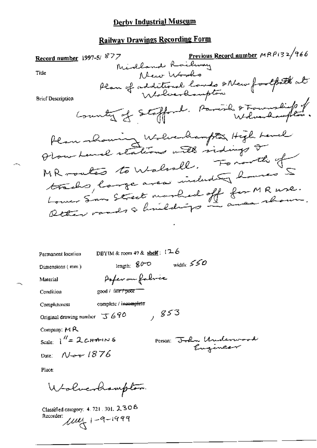# **Derby Industrial Museum**

# **Railway Drawings Recording Form**

7 Previous Record number MRP132/966 Record number 1997-5/877 Alcur Wards Title Plan of additional lands other footpath at **Brief Description** County of Stofford. Parish & Township of Plan whoming Wolverhampton High Land Plow Land stations with sidings or MR montés to Walnall. Fonorthe of trachs, large area including homes 5 Lower Sun Street marked off for MR use.

DBYIM & room 49 & shelf:  $126$ Permanent location width:  $550$ length:  $80^{\circ}$ Dimensions (mm) Pofer on fabric Material good / fair / poor Condition complete / innomplete Completeness , 853 Original drawing number  $\overline{\downarrow\downarrow}$  690 Company:  $M R$ Scale:  $1'' = 2cH + 1N$ Person: John Underw Date: Nov 1876

Place:

Wolverhampton

Classified category: 4, 721, 301, 2, 30 8 Recorder:  $104 + 1 - 9 - 1999$